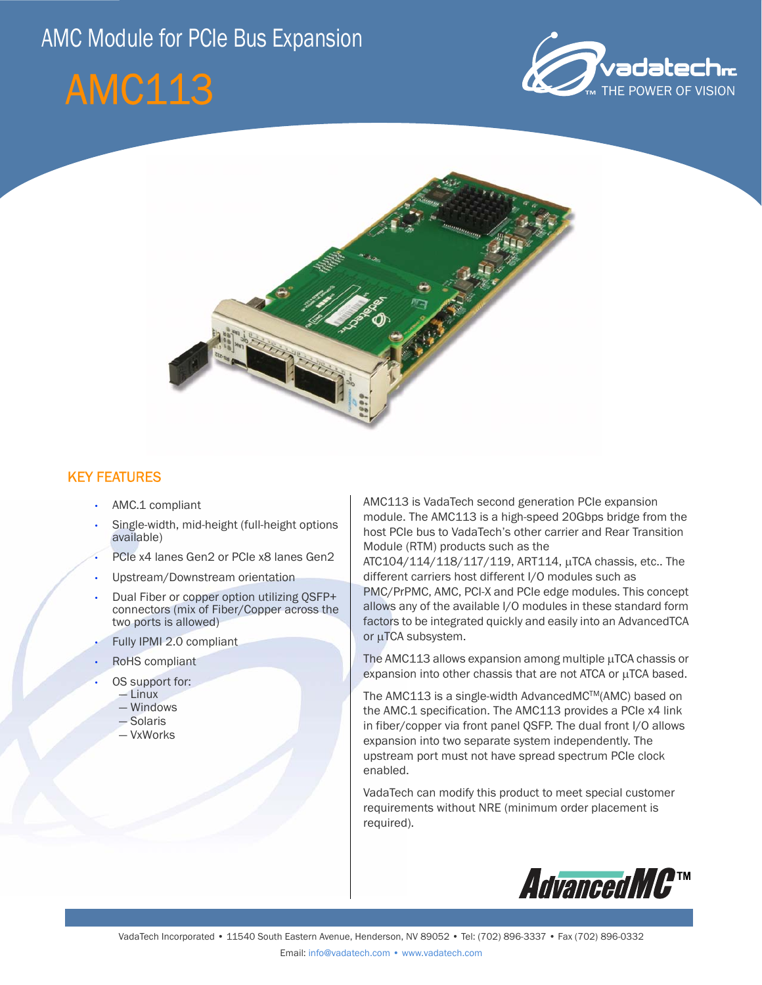# AMC Module for PCIe Bus Expansion







## KEY FEATURES

- AMC.1 compliant
- Single-width, mid-height (full-height options available)
- PCIe x4 lanes Gen2 or PCIe x8 lanes Gen2
- Upstream/Downstream orientation
- Dual Fiber or copper option utilizing QSFP+ connectors (mix of Fiber/Copper across the two ports is allowed)
- Fully IPMI 2.0 compliant
- RoHS compliant
- OS support for:
	- Linux
	- Windows
	- Solaris
	- VxWorks

AMC113 is VadaTech second generation PCIe expansion module. The AMC113 is a high-speed 20Gbps bridge from the host PCIe bus to VadaTech's other carrier and Rear Transition Module (RTM) products such as the

ATC104/114/118/117/119, ART114, µTCA chassis, etc.. The different carriers host different I/O modules such as PMC/PrPMC, AMC, PCI-X and PCIe edge modules. This concept allows any of the available I/O modules in these standard form factors to be integrated quickly and easily into an AdvancedTCA or µTCA subsystem.

The AMC113 allows expansion among multiple µTCA chassis or expansion into other chassis that are not ATCA or µTCA based.

The AMC113 is a single-width AdvancedMC™(AMC) based on the AMC.1 specification. The AMC113 provides a PCIe x4 link in fiber/copper via front panel QSFP. The dual front I/O allows expansion into two separate system independently. The upstream port must not have spread spectrum PCIe clock enabled.

VadaTech can modify this product to meet special customer requirements without NRE (minimum order placement is required).

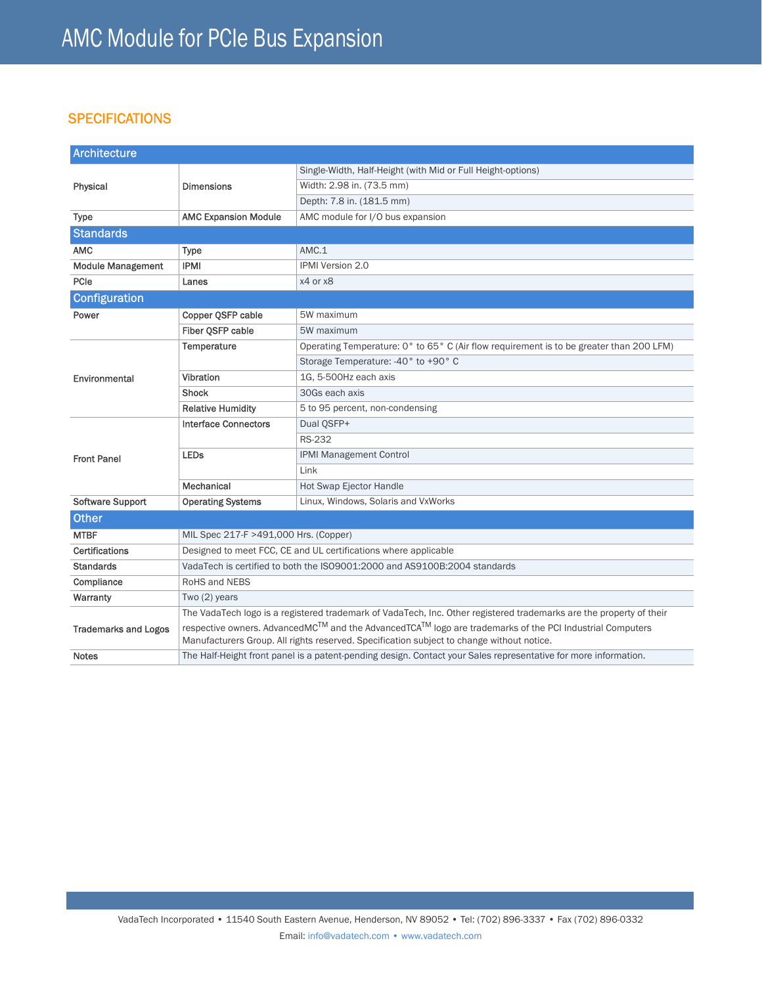# **SPECIFICATIONS**

| <b>Architecture</b>         |                                                                                                                                                                                                      |                                                                                         |
|-----------------------------|------------------------------------------------------------------------------------------------------------------------------------------------------------------------------------------------------|-----------------------------------------------------------------------------------------|
| Physical                    | <b>Dimensions</b>                                                                                                                                                                                    | Single-Width, Half-Height (with Mid or Full Height-options)                             |
|                             |                                                                                                                                                                                                      | Width: 2.98 in. (73.5 mm)                                                               |
|                             |                                                                                                                                                                                                      | Depth: 7.8 in. (181.5 mm)                                                               |
| <b>Type</b>                 | <b>AMC Expansion Module</b>                                                                                                                                                                          | AMC module for I/O bus expansion                                                        |
| <b>Standards</b>            |                                                                                                                                                                                                      |                                                                                         |
| <b>AMC</b>                  | <b>Type</b>                                                                                                                                                                                          | AMC.1                                                                                   |
| <b>Module Management</b>    | <b>IPMI</b>                                                                                                                                                                                          | <b>IPMI Version 2.0</b>                                                                 |
| PCIe                        | Lanes                                                                                                                                                                                                | x4 or x8                                                                                |
| <b>Configuration</b>        |                                                                                                                                                                                                      |                                                                                         |
| Power                       | Copper QSFP cable                                                                                                                                                                                    | 5W maximum                                                                              |
|                             | Fiber OSFP cable                                                                                                                                                                                     | 5W maximum                                                                              |
| Environmental               | Temperature                                                                                                                                                                                          | Operating Temperature: 0° to 65° C (Air flow requirement is to be greater than 200 LFM) |
|                             |                                                                                                                                                                                                      | Storage Temperature: -40° to +90° C                                                     |
|                             | Vibration                                                                                                                                                                                            | 1G. 5-500Hz each axis                                                                   |
|                             | <b>Shock</b>                                                                                                                                                                                         | 30Gs each axis                                                                          |
|                             | <b>Relative Humidity</b>                                                                                                                                                                             | 5 to 95 percent, non-condensing                                                         |
| <b>Front Panel</b>          | <b>Interface Connectors</b>                                                                                                                                                                          | Dual OSFP+                                                                              |
|                             |                                                                                                                                                                                                      | <b>RS-232</b>                                                                           |
|                             | <b>LEDs</b>                                                                                                                                                                                          | <b>IPMI Management Control</b>                                                          |
|                             |                                                                                                                                                                                                      | Link                                                                                    |
|                             | Mechanical                                                                                                                                                                                           | Hot Swap Ejector Handle                                                                 |
| <b>Software Support</b>     | <b>Operating Systems</b>                                                                                                                                                                             | Linux, Windows, Solaris and VxWorks                                                     |
| <b>Other</b>                |                                                                                                                                                                                                      |                                                                                         |
| <b>MTBF</b>                 | MIL Spec 217-F >491,000 Hrs. (Copper)                                                                                                                                                                |                                                                                         |
| <b>Certifications</b>       | Designed to meet FCC, CE and UL certifications where applicable                                                                                                                                      |                                                                                         |
| <b>Standards</b>            | VadaTech is certified to both the ISO9001:2000 and AS9100B:2004 standards                                                                                                                            |                                                                                         |
| Compliance                  | RoHS and NEBS                                                                                                                                                                                        |                                                                                         |
| Warranty                    | Two (2) years                                                                                                                                                                                        |                                                                                         |
| <b>Trademarks and Logos</b> | The VadaTech logo is a registered trademark of VadaTech, Inc. Other registered trademarks are the property of their                                                                                  |                                                                                         |
|                             | respective owners. AdvancedMC™ and the AdvancedTCA™ logo are trademarks of the PCI Industrial Computers<br>Manufacturers Group. All rights reserved. Specification subject to change without notice. |                                                                                         |
| <b>Notes</b>                | The Half-Height front panel is a patent-pending design. Contact your Sales representative for more information.                                                                                      |                                                                                         |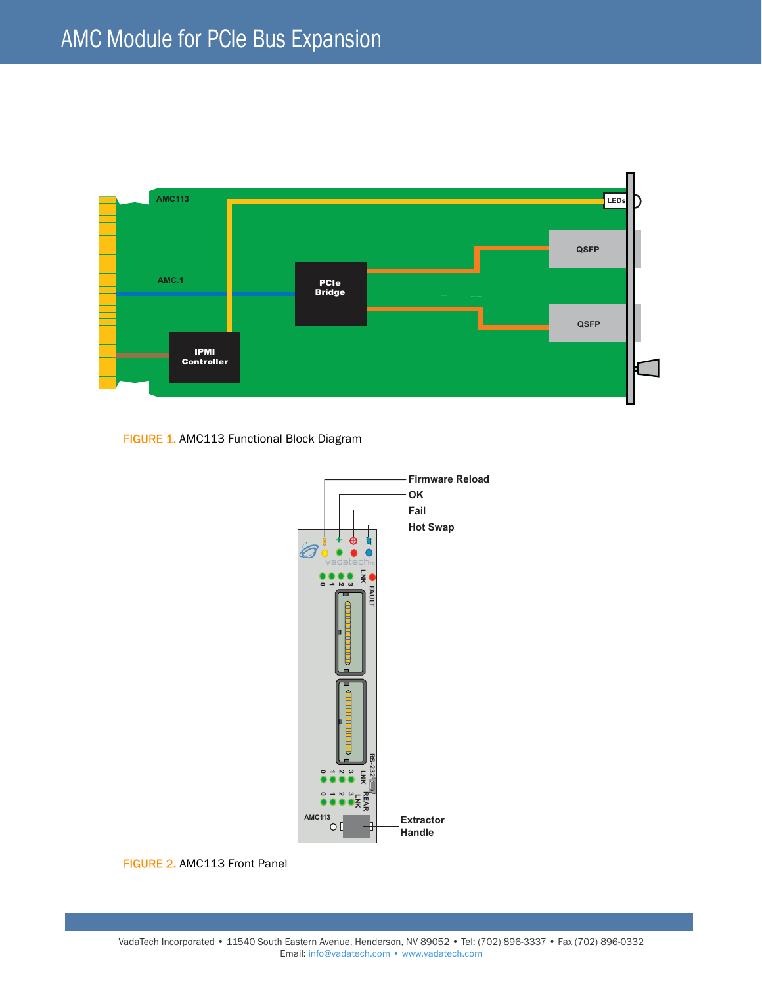

FIGURE 1. AMC113 Functional Block Diagram



FIGURE 2. AMC113 Front Panel